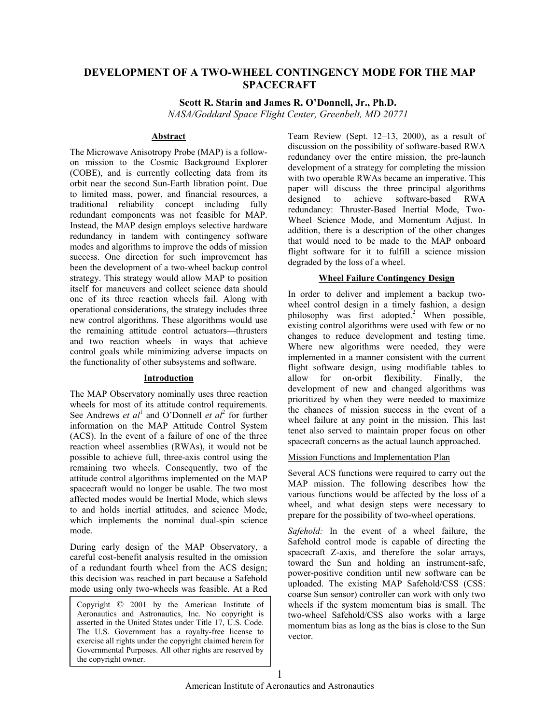# **DEVELOPMENT OF A TWO-WHEEL CONTINGENCY MODE FOR THE MAP SPACECRAFT**

**Scott R. Starin and James R. O'Donnell, Jr., Ph.D.**

*NASA/Goddard Space Flight Center, Greenbelt, MD 20771*

# **Abstract**

The Microwave Anisotropy Probe (MAP) is a followon mission to the Cosmic Background Explorer (COBE), and is currently collecting data from its orbit near the second Sun-Earth libration point. Due to limited mass, power, and financial resources, a traditional reliability concept including fully redundant components was not feasible for MAP. Instead, the MAP design employs selective hardware redundancy in tandem with contingency software modes and algorithms to improve the odds of mission success. One direction for such improvement has been the development of a two-wheel backup control strategy. This strategy would allow MAP to position itself for maneuvers and collect science data should one of its three reaction wheels fail. Along with operational considerations, the strategy includes three new control algorithms. These algorithms would use the remaining attitude control actuators—thrusters and two reaction wheels—in ways that achieve control goals while minimizing adverse impacts on the functionality of other subsystems and software.

### **Introduction**

The MAP Observatory nominally uses three reaction wheels for most of its attitude control requirements. See Andrews *et al*<sup>1</sup> and O'Donnell *et al*<sup>2</sup> for further information on the MAP Attitude Control System (ACS). In the event of a failure of one of the three reaction wheel assemblies (RWAs), it would not be possible to achieve full, three-axis control using the remaining two wheels. Consequently, two of the attitude control algorithms implemented on the MAP spacecraft would no longer be usable. The two most affected modes would be Inertial Mode, which slews to and holds inertial attitudes, and science Mode, which implements the nominal dual-spin science mode.

During early design of the MAP Observatory, a careful cost-benefit analysis resulted in the omission of a redundant fourth wheel from the ACS design; this decision was reached in part because a Safehold mode using only two-wheels was feasible. At a Red

Copyright © 2001 by the American Institute of Aeronautics and Astronautics, Inc. No copyright is asserted in the United States under Title 17, U.S. Code. The U.S. Government has a royalty-free license to exercise all rights under the copyright claimed herein for Governmental Purposes. All other rights are reserved by the copyright owner.

Team Review (Sept. 12–13, 2000), as a result of discussion on the possibility of software-based RWA redundancy over the entire mission, the pre-launch development of a strategy for completing the mission with two operable RWAs became an imperative. This paper will discuss the three principal algorithms designed to achieve software-based RWA redundancy: Thruster-Based Inertial Mode, Two-Wheel Science Mode, and Momentum Adjust. In addition, there is a description of the other changes that would need to be made to the MAP onboard flight software for it to fulfill a science mission degraded by the loss of a wheel.

# **Wheel Failure Contingency Design**

In order to deliver and implement a backup twowheel control design in a timely fashion, a design philosophy was first adopted. 2 When possible, existing control algorithms were used with few or no changes to reduce development and testing time. Where new algorithms were needed, they were implemented in a manner consistent with the current flight software design, using modifiable tables to allow for on-orbit flexibility. Finally, the development of new and changed algorithms was prioritized by when they were needed to maximize the chances of mission success in the event of a wheel failure at any point in the mission. This last tenet also served to maintain proper focus on other spacecraft concerns as the actual launch approached.

# Mission Functions and Implementation Plan

Several ACS functions were required to carry out the MAP mission. The following describes how the various functions would be affected by the loss of a wheel, and what design steps were necessary to prepare for the possibility of two-wheel operations.

*Safehold:* In the event of a wheel failure, the Safehold control mode is capable of directing the spacecraft Z-axis, and therefore the solar arrays, toward the Sun and holding an instrument-safe, power-positive condition until new software can be uploaded. The existing MAP Safehold/CSS (CSS: coarse Sun sensor) controller can work with only two wheels if the system momentum bias is small. The two-wheel Safehold/CSS also works with a large momentum bias as long as the bias is close to the Sun vector.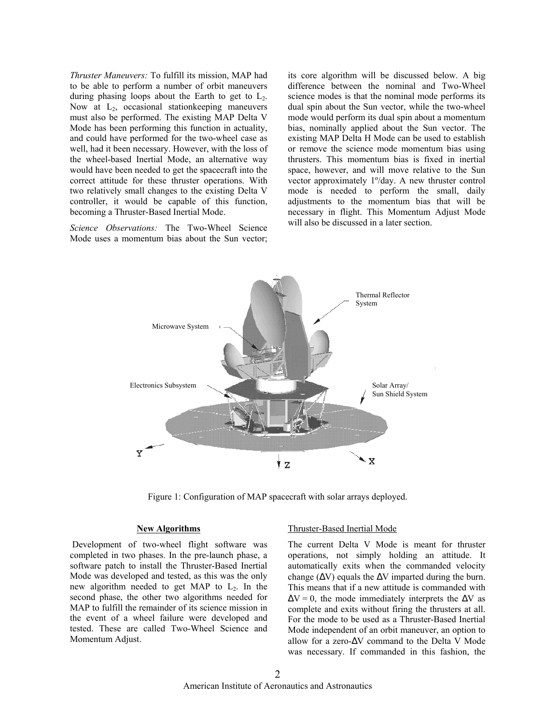*Thruster Maneuvers:* To fulfill its mission, MAP had to be able to perform a number of orbit maneuvers during phasing loops about the Earth to get to  $L<sub>2</sub>$ . Now at L<sub>2</sub>, occasional stationkeeping maneuvers must also be performed. The existing MAP Delta V Mode has been performing this function in actuality, and could have performed for the two-wheel case as well, had it been necessary. However, with the loss of the wheel-based Inertial Mode, an alternative way would have been needed to get the spacecraft into the correct attitude for these thruster operations. With two relatively small changes to the existing Delta V controller, it would be capable of this function, becoming a Thruster-Based Inertial Mode.

*Science Observations:* The Two-Wheel Science Mode uses a momentum bias about the Sun vector; its core algorithm will be discussed below. A big difference between the nominal and Two-Wheel science modes is that the nominal mode performs its dual spin about the Sun vector, while the two-wheel mode would perform its dual spin about a momentum bias, nominally applied about the Sun vector. The existing MAP Delta H Mode can be used to establish or remove the science mode momentum bias using thrusters. This momentum bias is fixed in inertial space, however, and will move relative to the Sun vector approximately 1º/day. A new thruster control mode is needed to perform the small, daily adjustments to the momentum bias that will be necessary in flight. This Momentum Adjust Mode will also be discussed in a later section.



Figure 1: Configuration of MAP spacecraft with solar arrays deployed.

### **New Algorithms**

Development of two-wheel flight software was completed in two phases. In the pre-launch phase, a software patch to install the Thruster-Based Inertial Mode was developed and tested, as this was the only new algorithm needed to get MAP to  $L_2$ . In the second phase, the other two algorithms needed for MAP to fulfill the remainder of its science mission in the event of a wheel failure were developed and tested. These are called Two-Wheel Science and Momentum Adjust.

#### Thruster-Based Inertial Mode

The current Delta V Mode is meant for thruster operations, not simply holding an attitude. It automatically exits when the commanded velocity change ( $\Delta V$ ) equals the  $\Delta V$  imparted during the burn. This means that if a new attitude is commanded with  $\Delta V = 0$ , the mode immediately interprets the  $\Delta V$  as complete and exits without firing the thrusters at all. For the mode to be used as a Thruster-Based Inertial Mode independent of an orbit maneuver, an option to allow for a zero-∆V command to the Delta V Mode was necessary. If commanded in this fashion, the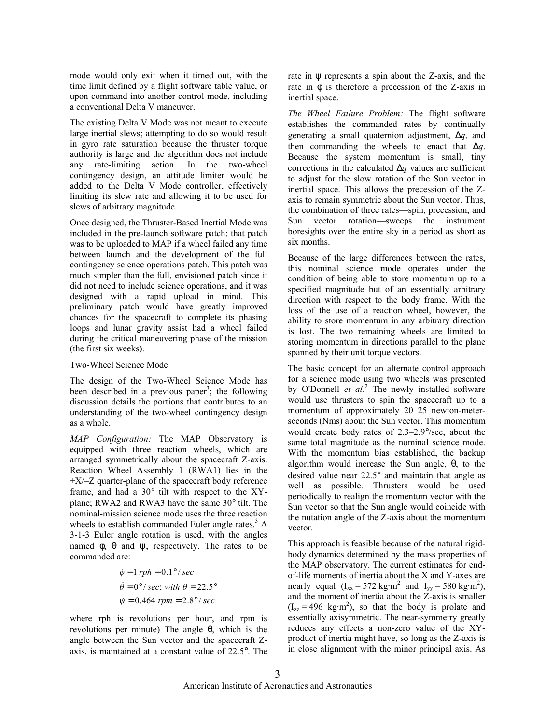mode would only exit when it timed out, with the time limit defined by a flight software table value, or upon command into another control mode, including a conventional Delta V maneuver.

The existing Delta V Mode was not meant to execute large inertial slews; attempting to do so would result in gyro rate saturation because the thruster torque authority is large and the algorithm does not include any rate-limiting action. In the two-wheel contingency design, an attitude limiter would be added to the Delta V Mode controller, effectively limiting its slew rate and allowing it to be used for slews of arbitrary magnitude.

Once designed, the Thruster-Based Inertial Mode was included in the pre-launch software patch; that patch was to be uploaded to MAP if a wheel failed any time between launch and the development of the full contingency science operations patch. This patch was much simpler than the full, envisioned patch since it did not need to include science operations, and it was designed with a rapid upload in mind. This preliminary patch would have greatly improved chances for the spacecraft to complete its phasing loops and lunar gravity assist had a wheel failed during the critical maneuvering phase of the mission (the first six weeks).

#### Two-Wheel Science Mode

The design of the Two-Wheel Science Mode has been described in a previous paper<sup>3</sup>; the following discussion details the portions that contributes to an understanding of the two-wheel contingency design as a whole.

*MAP Configuration:* The MAP Observatory is equipped with three reaction wheels, which are arranged symmetrically about the spacecraft Z-axis. Reaction Wheel Assembly 1 (RWA1) lies in the +X/–Z quarter-plane of the spacecraft body reference frame, and had a 30° tilt with respect to the XYplane; RWA2 and RWA3 have the same 30° tilt. The nominal-mission science mode uses the three reaction wheels to establish commanded Euler angle rates. $3$  A 3-1-3 Euler angle rotation is used, with the angles named  $φ$ ,  $θ$  and  $ψ$ , respectively. The rates to be commanded are:

> $\dot{\psi} = 0.464$  rpm =  $2.8^{\circ}/sec$  $\dot{\theta} = 0^{\circ}/sec$ ; with  $\theta = 22.5^{\circ}$  $\dot{\varphi} = 1$  *rph* = 0.1° / sec

where rph is revolutions per hour, and rpm is revolutions per minute) The angle θ, which is the angle between the Sun vector and the spacecraft Zaxis, is maintained at a constant value of 22.5°. The rate in ψ represents a spin about the Z-axis, and the rate in  $\phi$  is therefore a precession of the Z-axis in inertial space.

*The Wheel Failure Problem:* The flight software establishes the commanded rates by continually generating a small quaternion adjustment, ∆*q*, and then commanding the wheels to enact that ∆*q*. Because the system momentum is small, tiny corrections in the calculated ∆*q* values are sufficient to adjust for the slow rotation of the Sun vector in inertial space. This allows the precession of the Zaxis to remain symmetric about the Sun vector. Thus, the combination of three rates—spin, precession, and Sun vector rotation—sweeps the instrument boresights over the entire sky in a period as short as six months.

Because of the large differences between the rates, this nominal science mode operates under the condition of being able to store momentum up to a specified magnitude but of an essentially arbitrary direction with respect to the body frame. With the loss of the use of a reaction wheel, however, the ability to store momentum in any arbitrary direction is lost. The two remaining wheels are limited to storing momentum in directions parallel to the plane spanned by their unit torque vectors.

The basic concept for an alternate control approach for a science mode using two wheels was presented by O'Donnell *et al.*<sup>2</sup> The newly installed software would use thrusters to spin the spacecraft up to a momentum of approximately 20–25 newton-meterseconds (Nms) about the Sun vector. This momentum would create body rates of 2.3–2.9°/sec, about the same total magnitude as the nominal science mode. With the momentum bias established, the backup algorithm would increase the Sun angle, θ, to the desired value near 22.5° and maintain that angle as well as possible. Thrusters would be used periodically to realign the momentum vector with the Sun vector so that the Sun angle would coincide with the nutation angle of the Z-axis about the momentum vector.

This approach is feasible because of the natural rigidbody dynamics determined by the mass properties of the MAP observatory. The current estimates for endof-life moments of inertia about the X and Y-axes are nearly equal  $(I_{xx} = 572 \text{ kg} \cdot \text{m}^2 \text{ and } I_{yy} = 580 \text{ kg} \cdot \text{m}^2)$ , and the moment of inertia about the Z-axis is smaller  $(I_{zz} = 496 \text{ kg} \cdot \text{m}^2)$ , so that the body is prolate and essentially axisymmetric. The near-symmetry greatly reduces any effects a non-zero value of the XYproduct of inertia might have, so long as the Z-axis is in close alignment with the minor principal axis. As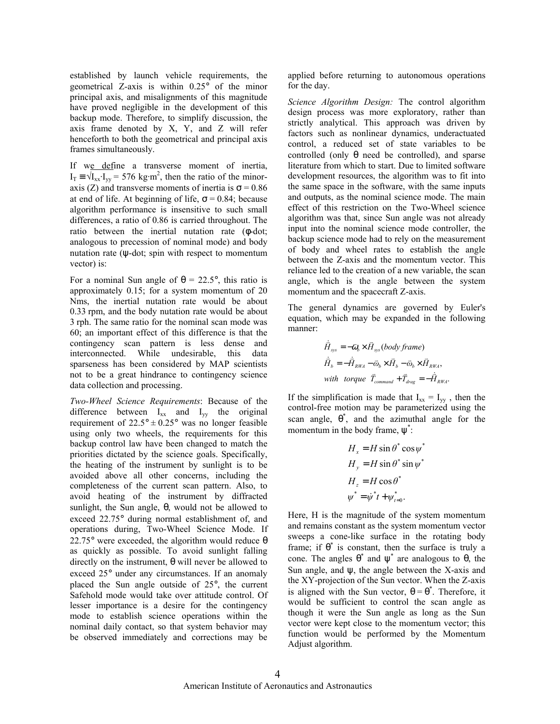established by launch vehicle requirements, the geometrical Z-axis is within 0.25° of the minor principal axis, and misalignments of this magnitude have proved negligible in the development of this backup mode. Therefore, to simplify discussion, the axis frame denoted by X, Y, and Z will refer henceforth to both the geometrical and principal axis frames simultaneously.

If we define a transverse moment of inertia,  $I_T \equiv \sqrt{I_{xx} I_{yy}} = 576$  kg·m<sup>2</sup>, then the ratio of the minoraxis (Z) and transverse moments of inertia is  $\sigma$  = 0.86 at end of life. At beginning of life,  $\sigma = 0.84$ ; because algorithm performance is insensitive to such small differences, a ratio of 0.86 is carried throughout. The ratio between the inertial nutation rate (φ-dot; analogous to precession of nominal mode) and body nutation rate (ψ-dot; spin with respect to momentum vector) is:

For a nominal Sun angle of  $\theta = 22.5^{\circ}$ , this ratio is approximately 0.15; for a system momentum of 20 Nms, the inertial nutation rate would be about 0.33 rpm, and the body nutation rate would be about 3 rph. The same ratio for the nominal scan mode was 60; an important effect of this difference is that the contingency scan pattern is less dense and interconnected. While undesirable, this data sparseness has been considered by MAP scientists not to be a great hindrance to contingency science data collection and processing.

*Two-Wheel Science Requirements*: Because of the difference between  $I_{xx}$  and  $I_{yy}$  the original requirement of  $22.5^{\circ} \pm 0.25^{\circ}$  was no longer feasible using only two wheels, the requirements for this backup control law have been changed to match the priorities dictated by the science goals. Specifically, the heating of the instrument by sunlight is to be avoided above all other concerns, including the completeness of the current scan pattern. Also, to avoid heating of the instrument by diffracted sunlight, the Sun angle, θ, would not be allowed to exceed 22.75° during normal establishment of, and operations during, Two-Wheel Science Mode. If 22.75° were exceeded, the algorithm would reduce  $\theta$ as quickly as possible. To avoid sunlight falling directly on the instrument, θ will never be allowed to exceed 25° under any circumstances. If an anomaly placed the Sun angle outside of 25°, the current Safehold mode would take over attitude control. Of lesser importance is a desire for the contingency mode to establish science operations within the nominal daily contact, so that system behavior may be observed immediately and corrections may be applied before returning to autonomous operations for the day.

*Science Algorithm Design:* The control algorithm design process was more exploratory, rather than strictly analytical. This approach was driven by factors such as nonlinear dynamics, underactuated control, a reduced set of state variables to be controlled (only  $\theta$  need be controlled), and sparse literature from which to start. Due to limited software development resources, the algorithm was to fit into the same space in the software, with the same inputs and outputs, as the nominal science mode. The main effect of this restriction on the Two-Wheel science algorithm was that, since Sun angle was not already input into the nominal science mode controller, the backup science mode had to rely on the measurement of body and wheel rates to establish the angle between the Z-axis and the momentum vector. This reliance led to the creation of a new variable, the scan angle, which is the angle between the system momentum and the spacecraft Z-axis.

The general dynamics are governed by Euler's equation, which may be expanded in the following manner:

$$
\dot{\vec{H}}_{sys} = -\vec{\omega}_b \times \vec{H}_{sys} (body frame)
$$
\n
$$
\dot{\vec{H}}_b = -\dot{\vec{H}}_{RWA} - \vec{\omega}_b \times \vec{H}_b - \vec{\omega}_b \times \vec{H}_{RWA},
$$
\nwith torque  $\vec{T}_{command} + \vec{T}_{drag} = -\dot{\vec{H}}_{RWA}.$ 

If the simplification is made that  $I_{xx} = I_{yy}$ , then the control-free motion may be parameterized using the scan angle,  $\theta^*$ , and the azimuthal angle for the momentum in the body frame,  $\psi^*$ :

$$
H_x = H \sin \theta^* \cos \psi^*
$$
  
\n
$$
H_y = H \sin \theta^* \sin \psi^*
$$
  
\n
$$
H_z = H \cos \theta^*
$$
  
\n
$$
\psi^* = \psi^* t + \psi_{t=0}^*.
$$

Here, H is the magnitude of the system momentum and remains constant as the system momentum vector sweeps a cone-like surface in the rotating body frame; if  $\theta^*$  is constant, then the surface is truly a cone. The angles  $\theta^*$  and  $\psi^*$  are analogous to  $\theta$ , the Sun angle, and  $\psi$ , the angle between the X-axis and the XY-projection of the Sun vector. When the Z-axis is aligned with the Sun vector,  $\theta = \theta^*$ . Therefore, it would be sufficient to control the scan angle as though it were the Sun angle as long as the Sun vector were kept close to the momentum vector; this function would be performed by the Momentum Adjust algorithm.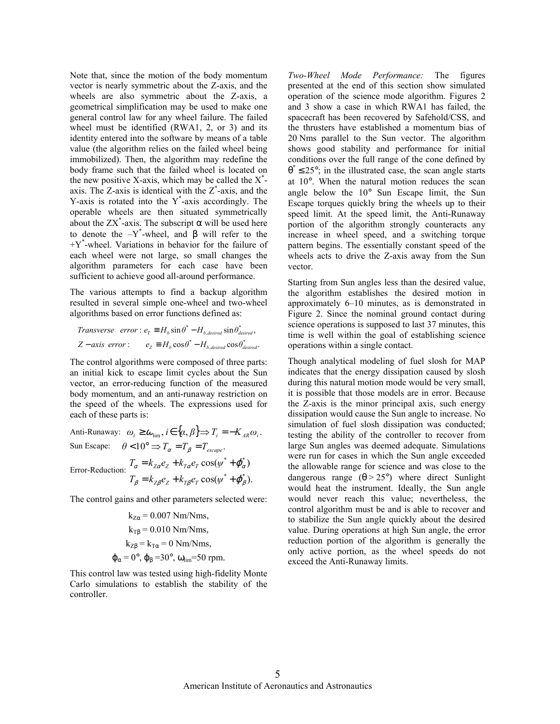Note that, since the motion of the body momentum vector is nearly symmetric about the Z-axis, and the wheels are also symmetric about the Z-axis, a geometrical simplification may be used to make one general control law for any wheel failure. The failed wheel must be identified (RWA1, 2, or 3) and its identity entered into the software by means of a table value (the algorithm relies on the failed wheel being immobilized). Then, the algorithm may redefine the body frame such that the failed wheel is located on the new positive X-axis, which may be called the  $X^*$ axis. The Z-axis is identical with the  $Z^*$ -axis, and the Y-axis is rotated into the Y\* -axis accordingly. The operable wheels are then situated symmetrically about the  $ZX^*$ -axis. The subscript  $\alpha$  will be used here to denote the  $-Y^*$ -wheel, and β will refer to the +Y\* -wheel. Variations in behavior for the failure of each wheel were not large, so small changes the algorithm parameters for each case have been sufficient to achieve good all-around performance.

The various attempts to find a backup algorithm resulted in several simple one-wheel and two-wheel algorithms based on error functions defined as:

 $Z - axis \; error: \qquad e_Z \equiv H_b \cos \theta^* - H_{b, desired} \cos \theta^*_{desired}.$ *Transverse*  $error: e_T \equiv H_b \sin \theta^* - H_{b, desired} \sin \theta^*$ 

The control algorithms were composed of three parts: an initial kick to escape limit cycles about the Sun vector, an error-reducing function of the measured body momentum, and an anti-runaway restriction on the speed of the wheels. The expressions used for each of these parts is:

Anti-Runaway:  $\omega_i \ge \omega_{\text{lim}}$ ,  $i \in {\alpha, \beta} \Rightarrow T_i = -K_{AR} \omega_i$ . Sun Escape:  $\theta < 10^{\circ} \Rightarrow T_{\alpha} = T_{\beta} = T_{\text{excone}}$ .

\* Error-Reduction:  $\cos(\psi^* + \varphi^*_{\beta}).$  $\cos(\psi^* + \varphi^*_{\alpha})$  $*$   $\alpha^*$ \*  $\beta = \kappa_{Z\beta} \epsilon_{Z} + \kappa_{T\beta} \epsilon_{T} \cos(\varphi + \varphi_{\beta})$  $\alpha$   $\alpha$   $\alpha$   $\alpha$   $\alpha$   $\alpha$   $\alpha$   $\alpha$  $\varphi$  $\varphi$  $= k_{z} e_z + k_{\tau} e_{\tau} \cos(\psi^* +$  $= k_{Z\alpha}e_Z + k_{T\alpha}e_T \cos(\psi^* +$  $T_a = k_{z} e_z + k_{\gamma} e_r \cos(\psi)$  $T_{\alpha} = k_{z\alpha}e_z + k_{\alpha}e_r \cos(\psi)$  $Z\beta$ **<sup>C</sup>** $Z$ <sup>1</sup> $N_T\beta$ <sup>C</sup> $T$ </sup>  $Z\alpha$ <sup>*C*</sup> $Z$  <sup>*I*</sup>  $N_T\alpha$ <sup>*C*</sup> $T$ 

The control gains and other parameters selected were:

$$
k_{Z\alpha} = 0.007
$$
 Nm/Nms,  
\n
$$
k_{T\beta} = 0.010
$$
 Nm/Nms,  
\n
$$
k_{Z\beta} = k_{T\alpha} = 0
$$
 Nm/Nms,  
\n
$$
\varphi_{\alpha} = 0^{\circ}, \varphi_{\beta} = 30^{\circ}, \omega_{\text{lim}} = 50
$$
 rpm.

This control law was tested using high-fidelity Monte Carlo simulations to establish the stability of the controller.

*Two-Wheel Mode Performance:* The figures presented at the end of this section show simulated operation of the science mode algorithm. Figures 2 and 3 show a case in which RWA1 has failed, the spacecraft has been recovered by Safehold/CSS, and the thrusters have established a momentum bias of 20 Nms parallel to the Sun vector. The algorithm shows good stability and performance for initial conditions over the full range of the cone defined by  $\theta^* \leq 25^{\circ}$ ; in the illustrated case, the scan angle starts at 10°. When the natural motion reduces the scan angle below the 10° Sun Escape limit, the Sun Escape torques quickly bring the wheels up to their speed limit. At the speed limit, the Anti-Runaway portion of the algorithm strongly counteracts any increase in wheel speed, and a switching torque pattern begins. The essentially constant speed of the wheels acts to drive the Z-axis away from the Sun vector.

Starting from Sun angles less than the desired value, the algorithm establishes the desired motion in approximately 6–10 minutes, as is demonstrated in Figure 2. Since the nominal ground contact during science operations is supposed to last 37 minutes, this time is well within the goal of establishing science operations within a single contact.

Though analytical modeling of fuel slosh for MAP indicates that the energy dissipation caused by slosh during this natural motion mode would be very small, it is possible that those models are in error. Because the Z-axis is the minor principal axis, such energy dissipation would cause the Sun angle to increase. No simulation of fuel slosh dissipation was conducted; testing the ability of the controller to recover from large Sun angles was deemed adequate. Simulations were run for cases in which the Sun angle exceeded the allowable range for science and was close to the dangerous range  $(\theta > 25^{\circ})$  where direct Sunlight would heat the instrument. Ideally, the Sun angle would never reach this value; nevertheless, the control algorithm must be and is able to recover and to stabilize the Sun angle quickly about the desired value. During operations at high Sun angle, the error reduction portion of the algorithm is generally the only active portion, as the wheel speeds do not exceed the Anti-Runaway limits.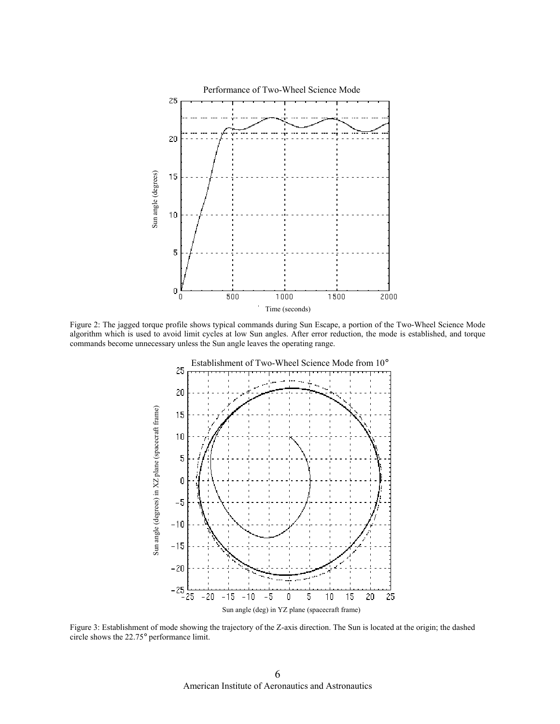

Figure 2: The jagged torque profile shows typical commands during Sun Escape, a portion of the Two-Wheel Science Mode algorithm which is used to avoid limit cycles at low Sun angles. After error reduction, the mode is established, and torque commands become unnecessary unless the Sun angle leaves the operating range.



Figure 3: Establishment of mode showing the trajectory of the Z-axis direction. The Sun is located at the origin; the dashed circle shows the 22.75° performance limit.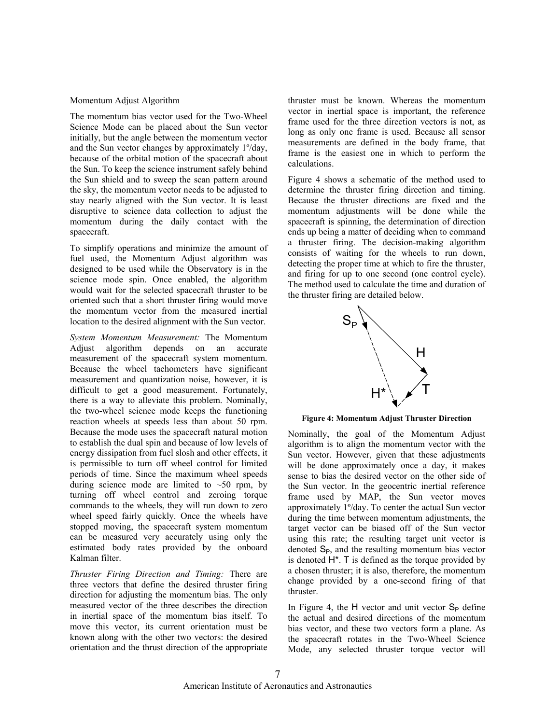# Momentum Adjust Algorithm

The momentum bias vector used for the Two-Wheel Science Mode can be placed about the Sun vector initially, but the angle between the momentum vector and the Sun vector changes by approximately 1º/day, because of the orbital motion of the spacecraft about the Sun. To keep the science instrument safely behind the Sun shield and to sweep the scan pattern around the sky, the momentum vector needs to be adjusted to stay nearly aligned with the Sun vector. It is least disruptive to science data collection to adjust the momentum during the daily contact with the spacecraft.

To simplify operations and minimize the amount of fuel used, the Momentum Adjust algorithm was designed to be used while the Observatory is in the science mode spin. Once enabled, the algorithm would wait for the selected spacecraft thruster to be oriented such that a short thruster firing would move the momentum vector from the measured inertial location to the desired alignment with the Sun vector.

*System Momentum Measurement:* The Momentum Adjust algorithm depends on an accurate measurement of the spacecraft system momentum. Because the wheel tachometers have significant measurement and quantization noise, however, it is difficult to get a good measurement. Fortunately, there is a way to alleviate this problem. Nominally, the two-wheel science mode keeps the functioning reaction wheels at speeds less than about 50 rpm. Because the mode uses the spacecraft natural motion to establish the dual spin and because of low levels of energy dissipation from fuel slosh and other effects, it is permissible to turn off wheel control for limited periods of time. Since the maximum wheel speeds during science mode are limited to  $\sim 50$  rpm, by turning off wheel control and zeroing torque commands to the wheels, they will run down to zero wheel speed fairly quickly. Once the wheels have stopped moving, the spacecraft system momentum can be measured very accurately using only the estimated body rates provided by the onboard Kalman filter.

*Thruster Firing Direction and Timing:* There are three vectors that define the desired thruster firing direction for adjusting the momentum bias. The only measured vector of the three describes the direction in inertial space of the momentum bias itself. To move this vector, its current orientation must be known along with the other two vectors: the desired orientation and the thrust direction of the appropriate thruster must be known. Whereas the momentum vector in inertial space is important, the reference frame used for the three direction vectors is not, as long as only one frame is used. Because all sensor measurements are defined in the body frame, that frame is the easiest one in which to perform the calculations.

[Figure 4](#page-6-0) shows a schematic of the method used to determine the thruster firing direction and timing. Because the thruster directions are fixed and the momentum adjustments will be done while the spacecraft is spinning, the determination of direction ends up being a matter of deciding when to command a thruster firing. The decision-making algorithm consists of waiting for the wheels to run down, detecting the proper time at which to fire the thruster, and firing for up to one second (one control cycle). The method used to calculate the time and duration of the thruster firing are detailed below.



<span id="page-6-0"></span>**Figure 4: Momentum Adjust Thruster Direction**

Nominally, the goal of the Momentum Adjust algorithm is to align the momentum vector with the Sun vector. However, given that these adjustments will be done approximately once a day, it makes sense to bias the desired vector on the other side of the Sun vector. In the geocentric inertial reference frame used by MAP, the Sun vector moves approximately 1º/day. To center the actual Sun vector during the time between momentum adjustments, the target vector can be biased off of the Sun vector using this rate; the resulting target unit vector is denoted  $S_{P_2}$ , and the resulting momentum bias vector is denoted H\*. T is defined as the torque provided by a chosen thruster; it is also, therefore, the momentum change provided by a one-second firing of that thruster.

In Figure 4, the H vector and unit vector  $S_P$  define the actual and desired directions of the momentum bias vector, and these two vectors form a plane. As the spacecraft rotates in the Two-Wheel Science Mode, any selected thruster torque vector will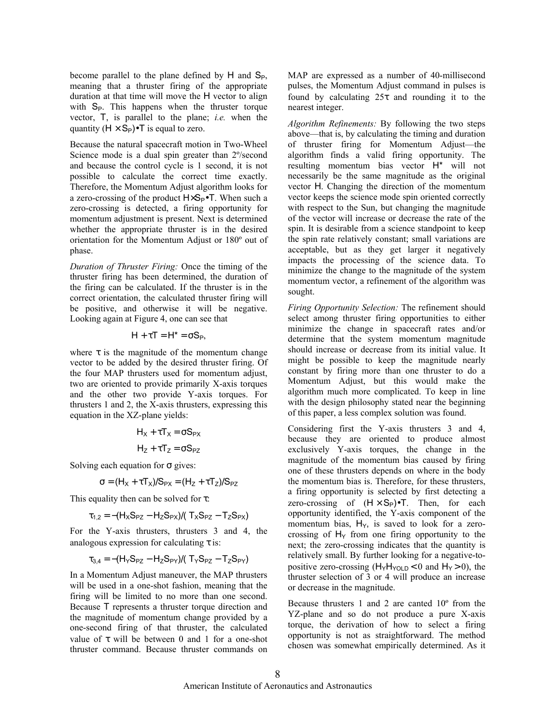become parallel to the plane defined by  $H$  and  $S_P$ , meaning that a thruster firing of the appropriate duration at that time will move the H vector to align with  $S_P$ . This happens when the thruster torque vector, T, is parallel to the plane; *i.e.* when the quantity  $(H \times S_P)\bullet T$  is equal to zero.

Because the natural spacecraft motion in Two-Wheel Science mode is a dual spin greater than 2º/second and because the control cycle is 1 second, it is not possible to calculate the correct time exactly. Therefore, the Momentum Adjust algorithm looks for a zero-crossing of the product  $H \times S_P \bullet T$ . When such a zero-crossing is detected, a firing opportunity for momentum adjustment is present. Next is determined whether the appropriate thruster is in the desired orientation for the Momentum Adjust or 180º out of phase.

*Duration of Thruster Firing:* Once the timing of the thruster firing has been determined, the duration of the firing can be calculated. If the thruster is in the correct orientation, the calculated thruster firing will be positive, and otherwise it will be negative. Looking again at Figure 4, one can see that

$$
H+\tau T=H^{\star}=\sigma S_{P},
$$

where  $\tau$  is the magnitude of the momentum change vector to be added by the desired thruster firing. Of the four MAP thrusters used for momentum adjust, two are oriented to provide primarily X-axis torques and the other two provide Y-axis torques. For thrusters 1 and 2, the X-axis thrusters, expressing this equation in the XZ-plane yields:

$$
H_X + \tau T_X = \sigma S_{PX}
$$

$$
H_Z + \tau T_Z = \sigma S_{PZ}
$$

Solving each equation for  $\sigma$  gives:

$$
\sigma=(H_X+\tau T_X)/S_{PX}=(H_Z+\tau T_Z)/S_{PZ}
$$

This equality then can be solved for  $\tau$ :

$$
\tau_{1,2} = -(H_X S_{PZ} - H_Z S_{PX})/(\ T_X S_{PZ} - T_Z S_{PX})
$$

For the Y-axis thrusters, thrusters 3 and 4, the analogous expression for calculating  $\tau$  is:

$$
\tau_{3,4} = -(H_Y S_{PZ} - H_Z S_{PY})/(T_Y S_{PZ} - T_Z S_{PY})
$$

In a Momentum Adjust maneuver, the MAP thrusters will be used in a one-shot fashion, meaning that the firing will be limited to no more than one second. Because T represents a thruster torque direction and the magnitude of momentum change provided by a one-second firing of that thruster, the calculated value of  $\tau$  will be between 0 and 1 for a one-shot thruster command. Because thruster commands on

MAP are expressed as a number of 40-millisecond pulses, the Momentum Adjust command in pulses is found by calculating  $25\tau$  and rounding it to the nearest integer.

*Algorithm Refinements:* By following the two steps above—that is, by calculating the timing and duration of thruster firing for Momentum Adjust—the algorithm finds a valid firing opportunity. The resulting momentum bias vector H\* will not necessarily be the same magnitude as the original vector H. Changing the direction of the momentum vector keeps the science mode spin oriented correctly with respect to the Sun, but changing the magnitude of the vector will increase or decrease the rate of the spin. It is desirable from a science standpoint to keep the spin rate relatively constant; small variations are acceptable, but as they get larger it negatively impacts the processing of the science data. To minimize the change to the magnitude of the system momentum vector, a refinement of the algorithm was sought.

*Firing Opportunity Selection:* The refinement should select among thruster firing opportunities to either minimize the change in spacecraft rates and/or determine that the system momentum magnitude should increase or decrease from its initial value. It might be possible to keep the magnitude nearly constant by firing more than one thruster to do a Momentum Adjust, but this would make the algorithm much more complicated. To keep in line with the design philosophy stated near the beginning of this paper, a less complex solution was found.

Considering first the Y-axis thrusters 3 and 4, because they are oriented to produce almost exclusively Y-axis torques, the change in the magnitude of the momentum bias caused by firing one of these thrusters depends on where in the body the momentum bias is. Therefore, for these thrusters, a firing opportunity is selected by first detecting a zero-crossing of  $(H \times S_P) \cdot T$ . Then, for each opportunity identified, the Y-axis component of the momentum bias,  $H_Y$ , is saved to look for a zerocrossing of  $H<sub>Y</sub>$  from one firing opportunity to the next; the zero-crossing indicates that the quantity is relatively small. By further looking for a negative-topositive zero-crossing  $(H_YH_{YOID} < 0$  and  $H_Y > 0)$ , the thruster selection of 3 or 4 will produce an increase or decrease in the magnitude.

Because thrusters 1 and 2 are canted 10º from the YZ-plane and so do not produce a pure X-axis torque, the derivation of how to select a firing opportunity is not as straightforward. The method chosen was somewhat empirically determined. As it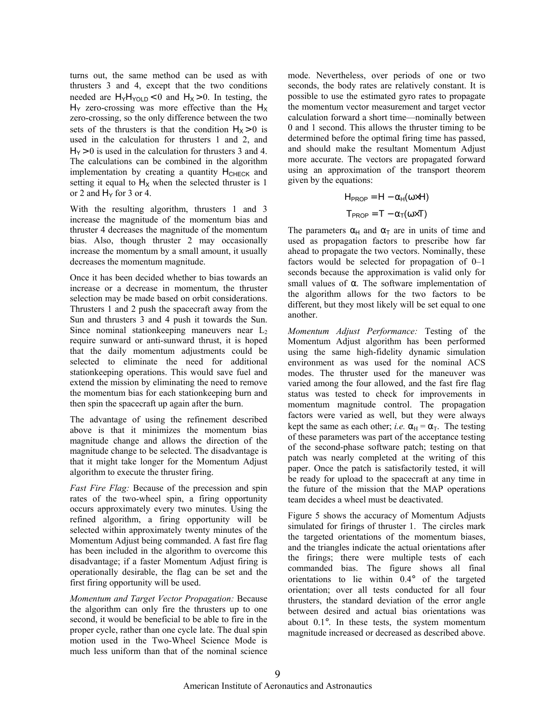turns out, the same method can be used as with thrusters 3 and 4, except that the two conditions needed are  $H_YH_{YOLD} < 0$  and  $H_X > 0$ . In testing, the  $H<sub>Y</sub>$  zero-crossing was more effective than the  $H<sub>X</sub>$ zero-crossing, so the only difference between the two sets of the thrusters is that the condition  $H_x > 0$  is used in the calculation for thrusters 1 and 2, and  $H_Y > 0$  is used in the calculation for thrusters 3 and 4. The calculations can be combined in the algorithm implementation by creating a quantity  $H_{CHECK}$  and setting it equal to  $H_X$  when the selected thruster is 1 or 2 and  $H<sub>Y</sub>$  for 3 or 4.

With the resulting algorithm, thrusters 1 and 3 increase the magnitude of the momentum bias and thruster 4 decreases the magnitude of the momentum bias. Also, though thruster 2 may occasionally increase the momentum by a small amount, it usually decreases the momentum magnitude.

Once it has been decided whether to bias towards an increase or a decrease in momentum, the thruster selection may be made based on orbit considerations. Thrusters 1 and 2 push the spacecraft away from the Sun and thrusters 3 and 4 push it towards the Sun. Since nominal stationkeeping maneuvers near  $L<sub>2</sub>$ require sunward or anti-sunward thrust, it is hoped that the daily momentum adjustments could be selected to eliminate the need for additional stationkeeping operations. This would save fuel and extend the mission by eliminating the need to remove the momentum bias for each stationkeeping burn and then spin the spacecraft up again after the burn.

The advantage of using the refinement described above is that it minimizes the momentum bias magnitude change and allows the direction of the magnitude change to be selected. The disadvantage is that it might take longer for the Momentum Adjust algorithm to execute the thruster firing.

*Fast Fire Flag:* Because of the precession and spin rates of the two-wheel spin, a firing opportunity occurs approximately every two minutes. Using the refined algorithm, a firing opportunity will be selected within approximately twenty minutes of the Momentum Adjust being commanded. A fast fire flag has been included in the algorithm to overcome this disadvantage; if a faster Momentum Adjust firing is operationally desirable, the flag can be set and the first firing opportunity will be used.

*Momentum and Target Vector Propagation:* Because the algorithm can only fire the thrusters up to one second, it would be beneficial to be able to fire in the proper cycle, rather than one cycle late. The dual spin motion used in the Two-Wheel Science Mode is much less uniform than that of the nominal science mode. Nevertheless, over periods of one or two seconds, the body rates are relatively constant. It is possible to use the estimated gyro rates to propagate the momentum vector measurement and target vector calculation forward a short time—nominally between 0 and 1 second. This allows the thruster timing to be determined before the optimal firing time has passed, and should make the resultant Momentum Adjust more accurate. The vectors are propagated forward using an approximation of the transport theorem given by the equations:

> $H_{PROP} = H - \alpha_H(\omega \times H)$  $T_{PROP} = T - \alpha_T(\omega \times T)$

The parameters  $\alpha_H$  and  $\alpha_T$  are in units of time and used as propagation factors to prescribe how far ahead to propagate the two vectors. Nominally, these factors would be selected for propagation of 0–1 seconds because the approximation is valid only for small values of  $\alpha$ . The software implementation of the algorithm allows for the two factors to be different, but they most likely will be set equal to one another.

*Momentum Adjust Performance:* Testing of the Momentum Adjust algorithm has been performed using the same high-fidelity dynamic simulation environment as was used for the nominal ACS modes. The thruster used for the maneuver was varied among the four allowed, and the fast fire flag status was tested to check for improvements in momentum magnitude control. The propagation factors were varied as well, but they were always kept the same as each other; *i.e.*  $\alpha_H = \alpha_T$ . The testing of these parameters was part of the acceptance testing of the second-phase software patch; testing on that patch was nearly completed at the writing of this paper. Once the patch is satisfactorily tested, it will be ready for upload to the spacecraft at any time in the future of the mission that the MAP operations team decides a wheel must be deactivated.

Figure 5 shows the accuracy of Momentum Adjusts simulated for firings of thruster 1. The circles mark the targeted orientations of the momentum biases, and the triangles indicate the actual orientations after the firings; there were multiple tests of each commanded bias. The figure shows all final orientations to lie within 0.4° of the targeted orientation; over all tests conducted for all four thrusters, the standard deviation of the error angle between desired and actual bias orientations was about 0.1°. In these tests, the system momentum magnitude increased or decreased as described above.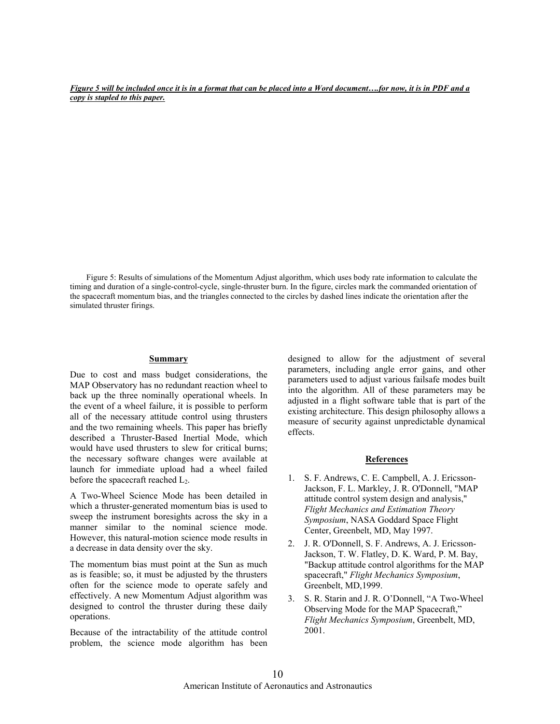*Figure 5 will be included once it is in a format that can be placed into a Word document….for now, it is in PDF and a copy is stapled to this paper.*

Figure 5: Results of simulations of the Momentum Adjust algorithm, which uses body rate information to calculate the timing and duration of a single-control-cycle, single-thruster burn. In the figure, circles mark the commanded orientation of the spacecraft momentum bias, and the triangles connected to the circles by dashed lines indicate the orientation after the simulated thruster firings.

#### **Summary**

Due to cost and mass budget considerations, the MAP Observatory has no redundant reaction wheel to back up the three nominally operational wheels. In the event of a wheel failure, it is possible to perform all of the necessary attitude control using thrusters and the two remaining wheels. This paper has briefly described a Thruster-Based Inertial Mode, which would have used thrusters to slew for critical burns; the necessary software changes were available at launch for immediate upload had a wheel failed before the spacecraft reached  $L<sub>2</sub>$ .

A Two-Wheel Science Mode has been detailed in which a thruster-generated momentum bias is used to sweep the instrument boresights across the sky in a manner similar to the nominal science mode. However, this natural-motion science mode results in a decrease in data density over the sky.

The momentum bias must point at the Sun as much as is feasible; so, it must be adjusted by the thrusters often for the science mode to operate safely and effectively. A new Momentum Adjust algorithm was designed to control the thruster during these daily operations.

Because of the intractability of the attitude control problem, the science mode algorithm has been designed to allow for the adjustment of several parameters, including angle error gains, and other parameters used to adjust various failsafe modes built into the algorithm. All of these parameters may be adjusted in a flight software table that is part of the existing architecture. This design philosophy allows a measure of security against unpredictable dynamical effects.

#### **References**

- 1. S. F. Andrews, C. E. Campbell, A. J. Ericsson-Jackson, F. L. Markley, J. R. O'Donnell, "MAP attitude control system design and analysis," *Flight Mechanics and Estimation Theory Symposium*, NASA Goddard Space Flight Center, Greenbelt, MD, May 1997.
- 2. J. R. O'Donnell, S. F. Andrews, A. J. Ericsson-Jackson, T. W. Flatley, D. K. Ward, P. M. Bay, "Backup attitude control algorithms for the MAP spacecraft," *Flight Mechanics Symposium*, Greenbelt, MD,1999.
- 3. S. R. Starin and J. R. O'Donnell, "A Two-Wheel Observing Mode for the MAP Spacecraft," *Flight Mechanics Symposium*, Greenbelt, MD, 2001.